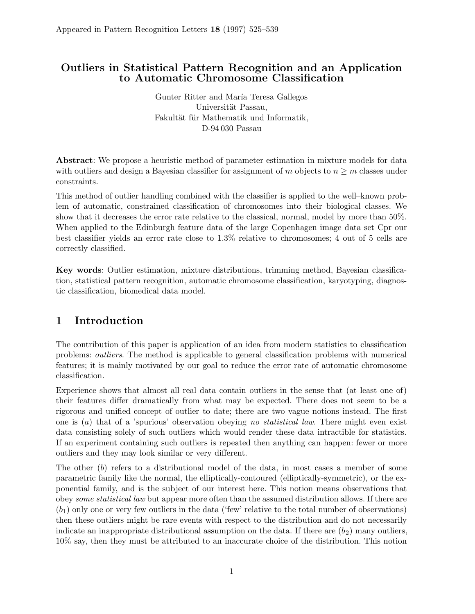# Outliers in Statistical Pattern Recognition and an Application to Automatic Chromosome Classification

Gunter Ritter and María Teresa Gallegos Universität Passau, Fakultät für Mathematik und Informatik, D-94 030 Passau

Abstract: We propose a heuristic method of parameter estimation in mixture models for data with outliers and design a Bayesian classifier for assignment of m objects to  $n \geq m$  classes under constraints.

This method of outlier handling combined with the classifier is applied to the well–known problem of automatic, constrained classification of chromosomes into their biological classes. We show that it decreases the error rate relative to the classical, normal, model by more than 50%. When applied to the Edinburgh feature data of the large Copenhagen image data set Cpr our best classifier yields an error rate close to 1.3% relative to chromosomes; 4 out of 5 cells are correctly classified.

Key words: Outlier estimation, mixture distributions, trimming method, Bayesian classification, statistical pattern recognition, automatic chromosome classification, karyotyping, diagnostic classification, biomedical data model.

# 1 Introduction

The contribution of this paper is application of an idea from modern statistics to classification problems: outliers. The method is applicable to general classification problems with numerical features; it is mainly motivated by our goal to reduce the error rate of automatic chromosome classification.

Experience shows that almost all real data contain outliers in the sense that (at least one of) their features differ dramatically from what may be expected. There does not seem to be a rigorous and unified concept of outlier to date; there are two vague notions instead. The first one is  $(a)$  that of a 'spurious' observation obeying no *statistical law*. There might even exist data consisting solely of such outliers which would render these data intractible for statistics. If an experiment containing such outliers is repeated then anything can happen: fewer or more outliers and they may look similar or very different.

The other (b) refers to a distributional model of the data, in most cases a member of some parametric family like the normal, the elliptically-contoured (elliptically-symmetric), or the exponential family, and is the subject of our interest here. This notion means observations that obey some statistical law but appear more often than the assumed distribution allows. If there are  $(b_1)$  only one or very few outliers in the data ('few' relative to the total number of observations) then these outliers might be rare events with respect to the distribution and do not necessarily indicate an inappropriate distributional assumption on the data. If there are  $(b_2)$  many outliers, 10% say, then they must be attributed to an inaccurate choice of the distribution. This notion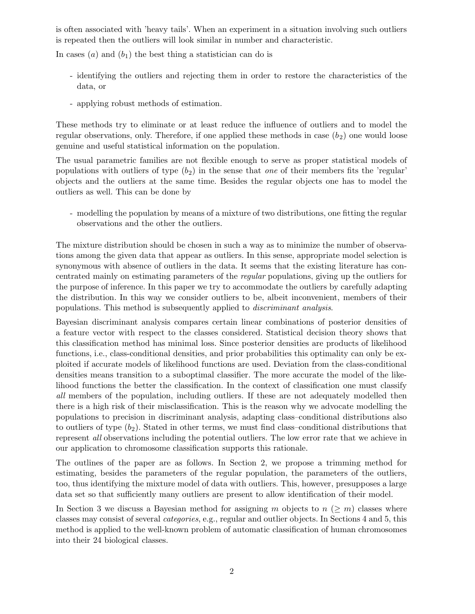is often associated with 'heavy tails'. When an experiment in a situation involving such outliers is repeated then the outliers will look similar in number and characteristic.

In cases (a) and  $(b_1)$  the best thing a statistician can do is

- identifying the outliers and rejecting them in order to restore the characteristics of the data, or
- applying robust methods of estimation.

These methods try to eliminate or at least reduce the influence of outliers and to model the regular observations, only. Therefore, if one applied these methods in case  $(b_2)$  one would loose genuine and useful statistical information on the population.

The usual parametric families are not flexible enough to serve as proper statistical models of populations with outliers of type  $(b_2)$  in the sense that *one* of their members fits the 'regular' objects and the outliers at the same time. Besides the regular objects one has to model the outliers as well. This can be done by

- modelling the population by means of a mixture of two distributions, one fitting the regular observations and the other the outliers.

The mixture distribution should be chosen in such a way as to minimize the number of observations among the given data that appear as outliers. In this sense, appropriate model selection is synonymous with absence of outliers in the data. It seems that the existing literature has concentrated mainly on estimating parameters of the regular populations, giving up the outliers for the purpose of inference. In this paper we try to accommodate the outliers by carefully adapting the distribution. In this way we consider outliers to be, albeit inconvenient, members of their populations. This method is subsequently applied to discriminant analysis.

Bayesian discriminant analysis compares certain linear combinations of posterior densities of a feature vector with respect to the classes considered. Statistical decision theory shows that this classification method has minimal loss. Since posterior densities are products of likelihood functions, i.e., class-conditional densities, and prior probabilities this optimality can only be exploited if accurate models of likelihood functions are used. Deviation from the class-conditional densities means transition to a suboptimal classifier. The more accurate the model of the likelihood functions the better the classification. In the context of classification one must classify all members of the population, including outliers. If these are not adequately modelled then there is a high risk of their misclassification. This is the reason why we advocate modelling the populations to precision in discriminant analysis, adapting class–conditional distributions also to outliers of type  $(b_2)$ . Stated in other terms, we must find class-conditional distributions that represent all observations including the potential outliers. The low error rate that we achieve in our application to chromosome classification supports this rationale.

The outlines of the paper are as follows. In Section 2, we propose a trimming method for estimating, besides the parameters of the regular population, the parameters of the outliers, too, thus identifying the mixture model of data with outliers. This, however, presupposes a large data set so that sufficiently many outliers are present to allow identification of their model.

In Section 3 we discuss a Bayesian method for assigning m objects to  $n \ (\geq m)$  classes where classes may consist of several categories, e.g., regular and outlier objects. In Sections 4 and 5, this method is applied to the well-known problem of automatic classification of human chromosomes into their 24 biological classes.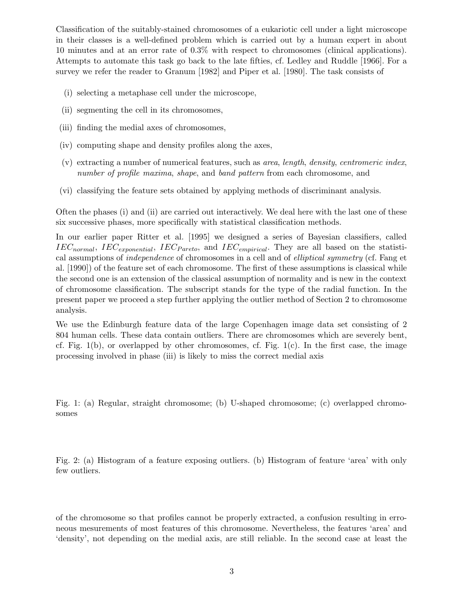Classification of the suitably-stained chromosomes of a eukariotic cell under a light microscope in their classes is a well-defined problem which is carried out by a human expert in about 10 minutes and at an error rate of 0.3% with respect to chromosomes (clinical applications). Attempts to automate this task go back to the late fifties, cf. Ledley and Ruddle [1966]. For a survey we refer the reader to Granum [1982] and Piper et al. [1980]. The task consists of

- (i) selecting a metaphase cell under the microscope,
- (ii) segmenting the cell in its chromosomes,
- (iii) finding the medial axes of chromosomes,
- (iv) computing shape and density profiles along the axes,
- (v) extracting a number of numerical features, such as area, length, density, centromeric index, number of profile maxima, shape, and band pattern from each chromosome, and
- (vi) classifying the feature sets obtained by applying methods of discriminant analysis.

Often the phases (i) and (ii) are carried out interactively. We deal here with the last one of these six successive phases, more specifically with statistical classification methods.

In our earlier paper Ritter et al. [1995] we designed a series of Bayesian classifiers, called  $IEC_{normal}$ ,  $IEC_{exponential}$ ,  $IEC_{Pareto}$ , and  $IEC_{empirical}$ . They are all based on the statistical assumptions of independence of chromosomes in a cell and of elliptical symmetry (cf. Fang et al. [1990]) of the feature set of each chromosome. The first of these assumptions is classical while the second one is an extension of the classical assumption of normality and is new in the context of chromosome classification. The subscript stands for the type of the radial function. In the present paper we proceed a step further applying the outlier method of Section 2 to chromosome analysis.

We use the Edinburgh feature data of the large Copenhagen image data set consisting of 2 804 human cells. These data contain outliers. There are chromosomes which are severely bent, cf. Fig.  $1(b)$ , or overlapped by other chromosomes, cf. Fig.  $1(c)$ . In the first case, the image processing involved in phase (iii) is likely to miss the correct medial axis

Fig. 1: (a) Regular, straight chromosome; (b) U-shaped chromosome; (c) overlapped chromosomes

Fig. 2: (a) Histogram of a feature exposing outliers. (b) Histogram of feature 'area' with only few outliers.

of the chromosome so that profiles cannot be properly extracted, a confusion resulting in erroneous mesurements of most features of this chromosome. Nevertheless, the features 'area' and 'density', not depending on the medial axis, are still reliable. In the second case at least the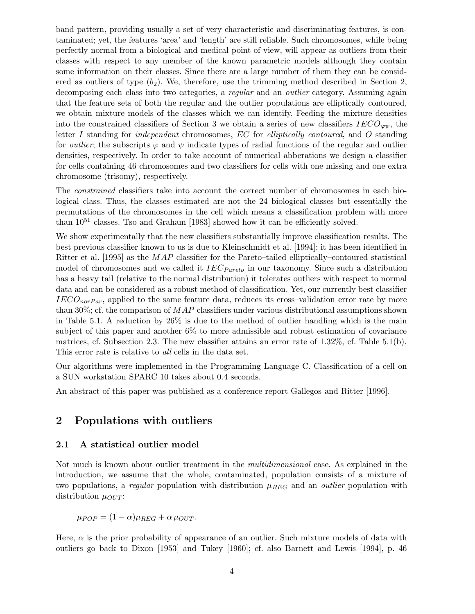band pattern, providing usually a set of very characteristic and discriminating features, is contaminated; yet, the features 'area' and 'length' are still reliable. Such chromosomes, while being perfectly normal from a biological and medical point of view, will appear as outliers from their classes with respect to any member of the known parametric models although they contain some information on their classes. Since there are a large number of them they can be considered as outliers of type  $(b_2)$ . We, therefore, use the trimming method described in Section 2, decomposing each class into two categories, a *regular* and an *outlier* category. Assuming again that the feature sets of both the regular and the outlier populations are elliptically contoured, we obtain mixture models of the classes which we can identify. Feeding the mixture densities into the constrained classifiers of Section 3 we obtain a series of new classifiers  $IECO_{\varphi\psi}$ , the letter I standing for *independent* chromosomes,  $EC$  for *elliptically contoured*, and O standing for *outlier*; the subscripts  $\varphi$  and  $\psi$  indicate types of radial functions of the regular and outlier densities, respectively. In order to take account of numerical abberations we design a classifier for cells containing 46 chromosomes and two classifiers for cells with one missing and one extra chromosome (trisomy), respectively.

The constrained classifiers take into account the correct number of chromosomes in each biological class. Thus, the classes estimated are not the 24 biological classes but essentially the permutations of the chromosomes in the cell which means a classification problem with more than  $10^{51}$  classes. Tso and Graham [1983] showed how it can be efficiently solved.

We show experimentally that the new classifiers substantially improve classification results. The best previous classifier known to us is due to Kleinschmidt et al. [1994]; it has been identified in Ritter et al. [1995] as the MAP classifier for the Pareto–tailed elliptically–contoured statistical model of chromosomes and we called it  $IEC_{Pareto}$  in our taxonomy. Since such a distribution has a heavy tail (relative to the normal distribution) it tolerates outliers with respect to normal data and can be considered as a robust method of classification. Yet, our currently best classifier  $IECO<sub>norPar</sub>$ , applied to the same feature data, reduces its cross-validation error rate by more than 30%; cf. the comparison of  $MAP$  classifiers under various distributional assumptions shown in Table 5.1. A reduction by 26% is due to the method of outlier handling which is the main subject of this paper and another 6% to more admissible and robust estimation of covariance matrices, cf. Subsection 2.3. The new classifier attains an error rate of  $1.32\%$ , cf. Table 5.1(b). This error rate is relative to *all* cells in the data set.

Our algorithms were implemented in the Programming Language C. Classification of a cell on a SUN workstation SPARC 10 takes about 0.4 seconds.

An abstract of this paper was published as a conference report Gallegos and Ritter [1996].

## 2 Populations with outliers

### 2.1 A statistical outlier model

Not much is known about outlier treatment in the multidimensional case. As explained in the introduction, we assume that the whole, contaminated, population consists of a mixture of two populations, a regular population with distribution  $\mu_{REG}$  and an *outlier* population with distribution  $\mu_{OUT}$ :

 $\mu_{POP} = (1 - \alpha)\mu_{REG} + \alpha \mu_{OUT}.$ 

Here,  $\alpha$  is the prior probability of appearance of an outlier. Such mixture models of data with outliers go back to Dixon [1953] and Tukey [1960]; cf. also Barnett and Lewis [1994], p. 46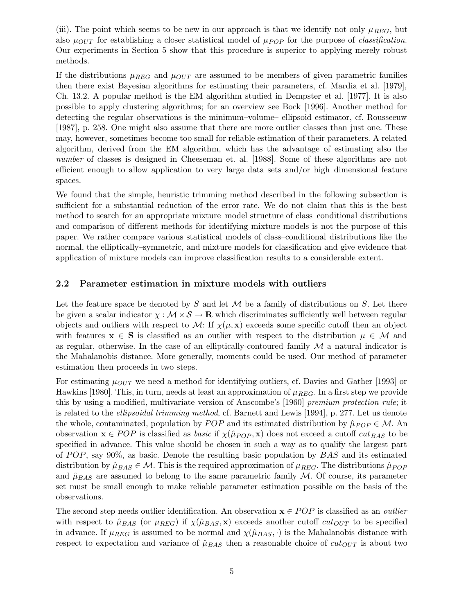(iii). The point which seems to be new in our approach is that we identify not only  $\mu_{REG}$ , but also  $\mu_{OUT}$  for establishing a closer statistical model of  $\mu_{POP}$  for the purpose of *classification*. Our experiments in Section 5 show that this procedure is superior to applying merely robust methods.

If the distributions  $\mu_{REG}$  and  $\mu_{OUT}$  are assumed to be members of given parametric families then there exist Bayesian algorithms for estimating their parameters, cf. Mardia et al. [1979], Ch. 13.2. A popular method is the EM algorithm studied in Dempster et al. [1977]. It is also possible to apply clustering algorithms; for an overview see Bock [1996]. Another method for detecting the regular observations is the minimum–volume– ellipsoid estimator, cf. Rousseeuw [1987], p. 258. One might also assume that there are more outlier classes than just one. These may, however, sometimes become too small for reliable estimation of their parameters. A related algorithm, derived from the EM algorithm, which has the advantage of estimating also the number of classes is designed in Cheeseman et. al. [1988]. Some of these algorithms are not efficient enough to allow application to very large data sets and/or high–dimensional feature spaces.

We found that the simple, heuristic trimming method described in the following subsection is sufficient for a substantial reduction of the error rate. We do not claim that this is the best method to search for an appropriate mixture–model structure of class–conditional distributions and comparison of different methods for identifying mixture models is not the purpose of this paper. We rather compare various statistical models of class–conditional distributions like the normal, the elliptically–symmetric, and mixture models for classification and give evidence that application of mixture models can improve classification results to a considerable extent.

### 2.2 Parameter estimation in mixture models with outliers

Let the feature space be denoted by S and let  $\mathcal M$  be a family of distributions on S. Let there be given a scalar indicator  $\chi : \mathcal{M} \times \mathcal{S} \to \mathbf{R}$  which discriminates sufficiently well between regular objects and outliers with respect to M: If  $\chi(\mu, \mathbf{x})$  exceeds some specific cutoff then an object with features  $x \in S$  is classified as an outlier with respect to the distribution  $\mu \in \mathcal{M}$  and as regular, otherwise. In the case of an elliptically-contoured family  $\mathcal M$  a natural indicator is the Mahalanobis distance. More generally, moments could be used. Our method of parameter estimation then proceeds in two steps.

For estimating  $\mu_{OUT}$  we need a method for identifying outliers, cf. Davies and Gather [1993] or Hawkins [1980]. This, in turn, needs at least an approximation of  $\mu_{REG}$ . In a first step we provide this by using a modified, multivariate version of Anscombe's [1960] premium protection rule; it is related to the ellipsoidal trimming method, cf. Barnett and Lewis [1994], p. 277. Let us denote the whole, contaminated, population by  $POP$  and its estimated distribution by  $\hat{\mu}_{POP} \in \mathcal{M}$ . An observation  $\mathbf{x} \in POP$  is classified as *basic* if  $\chi(\hat{\mu}_{POP}, \mathbf{x})$  does not exceed a cutoff cut<sub>BAS</sub> to be specified in advance. This value should be chosen in such a way as to qualify the largest part of POP, say 90%, as basic. Denote the resulting basic population by BAS and its estimated distribution by  $\hat{\mu}_{BAS} \in \mathcal{M}$ . This is the required approximation of  $\mu_{REG}$ . The distributions  $\hat{\mu}_{POP}$ and  $\hat{\mu}_{BAS}$  are assumed to belong to the same parametric family M. Of course, its parameter set must be small enough to make reliable parameter estimation possible on the basis of the observations.

The second step needs outlier identification. An observation  $\mathbf{x} \in POP$  is classified as an *outlier* with respect to  $\hat{\mu}_{BAS}$  (or  $\mu_{REG}$ ) if  $\chi(\hat{\mu}_{BAS}, \mathbf{x})$  exceeds another cutoff  $cut_{OUT}$  to be specified in advance. If  $\mu_{REG}$  is assumed to be normal and  $\chi(\hat{\mu}_{BAS}, \cdot)$  is the Mahalanobis distance with respect to expectation and variance of  $\hat{\mu}_{BAS}$  then a reasonable choice of  $cut_{OUT}$  is about two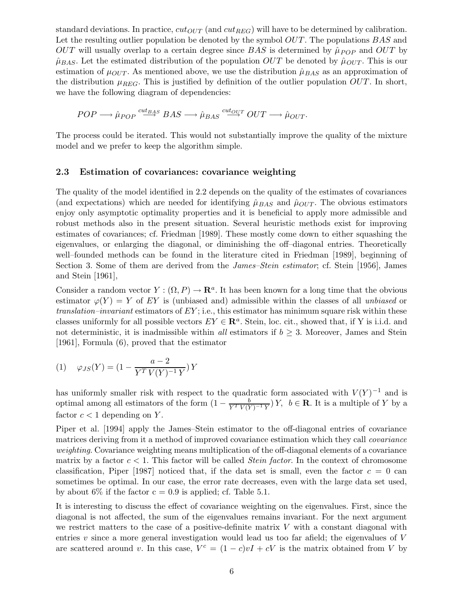standard deviations. In practice,  $cut_{OUT}$  (and  $cut_{REG}$ ) will have to be determined by calibration. Let the resulting outlier population be denoted by the symbol OUT. The populations BAS and OUT will usually overlap to a certain degree since BAS is determined by  $\hat{\mu}_{POP}$  and OUT by  $\hat{\mu}_{BAS}$ . Let the estimated distribution of the population OUT be denoted by  $\hat{\mu}_{OUT}$ . This is our estimation of  $\mu_{OUT}$ . As mentioned above, we use the distribution  $\hat{\mu}_{BAS}$  as an approximation of the distribution  $\mu_{REG}$ . This is justified by definition of the outlier population OUT. In short, we have the following diagram of dependencies:

$$
POP \longrightarrow \hat{\mu}_{POP} \stackrel{cut_{BAS}}{\longrightarrow} BAS \longrightarrow \hat{\mu}_{BAS} \stackrel{cut_{OUT}}{\longrightarrow} OUT \longrightarrow \hat{\mu}_{OUT}.
$$

The process could be iterated. This would not substantially improve the quality of the mixture model and we prefer to keep the algorithm simple.

#### 2.3 Estimation of covariances: covariance weighting

The quality of the model identified in 2.2 depends on the quality of the estimates of covariances (and expectations) which are needed for identifying  $\hat{\mu}_{BAS}$  and  $\hat{\mu}_{OUT}$ . The obvious estimators enjoy only asymptotic optimality properties and it is beneficial to apply more admissible and robust methods also in the present situation. Several heuristic methods exist for improving estimates of covariances; cf. Friedman [1989]. These mostly come down to either squashing the eigenvalues, or enlarging the diagonal, or diminishing the off–diagonal entries. Theoretically well–founded methods can be found in the literature cited in Friedman [1989], beginning of Section 3. Some of them are derived from the *James–Stein estimator*; cf. Stein [1956], James and Stein [1961],

Consider a random vector  $Y : (\Omega, P) \to \mathbf{R}^a$ . It has been known for a long time that the obvious estimator  $\varphi(Y) = Y$  of EY is (unbiased and) admissible within the classes of all unbiased or translation–invariant estimators of  $EY$ ; i.e., this estimator has minimum square risk within these classes uniformly for all possible vectors  $EY \in \mathbb{R}^a$ . Stein, loc. cit., showed that, if Y is i.i.d. and not deterministic, it is inadmissible within all estimators if  $b \geq 3$ . Moreover, James and Stein [1961], Formula (6), proved that the estimator

(1) 
$$
\varphi_{JS}(Y) = (1 - \frac{a-2}{Y^T V(Y)^{-1} Y}) Y
$$

has uniformly smaller risk with respect to the quadratic form associated with  $V(Y)^{-1}$  and is optimal among all estimators of the form  $(1 - \frac{b}{Y^T V(Y)^{-1} Y}) Y$ ,  $b \in \mathbf{R}$ . It is a multiple of Y by a factor  $c < 1$  depending on Y.

Piper et al. [1994] apply the James–Stein estimator to the off-diagonal entries of covariance matrices deriving from it a method of improved covariance estimation which they call covariance weighting. Covariance weighting means multiplication of the off-diagonal elements of a covariance matrix by a factor  $c < 1$ . This factor will be called *Stein factor*. In the context of chromosome classification, Piper [1987] noticed that, if the data set is small, even the factor  $c = 0$  can sometimes be optimal. In our case, the error rate decreases, even with the large data set used, by about 6% if the factor  $c = 0.9$  is applied; cf. Table 5.1.

It is interesting to discuss the effect of covariance weighting on the eigenvalues. First, since the diagonal is not affected, the sum of the eigenvalues remains invariant. For the next argument we restrict matters to the case of a positive-definite matrix  $V$  with a constant diagonal with entries  $v$  since a more general investigation would lead us too far afield; the eigenvalues of  $V$ are scattered around v. In this case,  $V^c = (1 - c)vI + cV$  is the matrix obtained from V by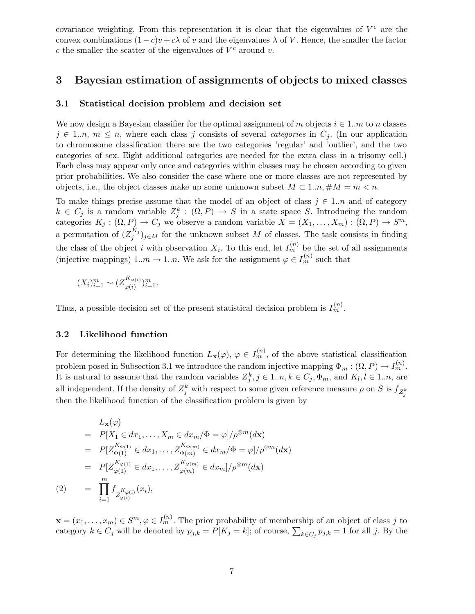covariance weighting. From this representation it is clear that the eigenvalues of  $V^c$  are the convex combinations  $(1-c)v + c\lambda$  of v and the eigenvalues  $\lambda$  of V. Hence, the smaller the factor c the smaller the scatter of the eigenvalues of  $V^c$  around v.

## 3 Bayesian estimation of assignments of objects to mixed classes

#### 3.1 Statistical decision problem and decision set

We now design a Bayesian classifier for the optimal assignment of m objects  $i \in 1..m$  to n classes  $j \in 1..n, m \leq n$ , where each class j consists of several *categories* in  $C_j$ . (In our application to chromosome classification there are the two categories 'regular' and 'outlier', and the two categories of sex. Eight additional categories are needed for the extra class in a trisomy cell.) Each class may appear only once and categories within classes may be chosen according to given prior probabilities. We also consider the case where one or more classes are not represented by objects, i.e., the object classes make up some unknown subset  $M \subset 1..n, \#M = m < n$ .

To make things precise assume that the model of an object of class  $j \in 1..n$  and of category  $k \in C_j$  is a random variable  $Z_j^k : (\Omega, P) \to S$  in a state space S. Introducing the random categories  $K_j : (\Omega, P) \to C_j$  we observe a random variable  $X = (X_1, \ldots, X_m) : (\Omega, P) \to S^m$ , a permutation of  $(Z_i^{K_j})$  $j^{(N_j)}_{j}$ <sub>j</sub> $\in M$  for the unknown subset M of classes. The task consists in finding the class of the object i with observation  $X_i$ . To this end, let  $I_m^{(n)}$  be the set of all assignments (injective mappings) 1.. $m \to 1..n$ . We ask for the assignment  $\varphi \in I_m^{(n)}$  such that

$$
(X_i)_{i=1}^m \sim (Z_{\varphi(i)}^{K_{\varphi(i)}})_{i=1}^m.
$$

Thus, a possible decision set of the present statistical decision problem is  $I_m^{(n)}$ .

## 3.2 Likelihood function

For determining the likelihood function  $L_{\mathbf{x}}(\varphi)$ ,  $\varphi \in I_m^{(n)}$ , of the above statistical classification problem posed in Subsection 3.1 we introduce the random injective mapping  $\Phi_m : (\Omega, P) \to I_m^{(n)}$ . It is natural to assume that the random variables  $Z_j^k$ ,  $j \in 1..n, k \in C_j$ ,  $\Phi_m$ , and  $K_l$ ,  $l \in 1..n$ , are all independent. If the density of  $Z_j^k$  with respect to some given reference measure  $\rho$  on S is  $f_{Z_j^k}$ then the likelihood function of the classification problem is given by

$$
L_{\mathbf{x}}(\varphi)
$$
  
\n
$$
= P[X_1 \in dx_1, \dots, X_m \in dx_m/\Phi = \varphi]/\rho^{\otimes m}(d\mathbf{x})
$$
  
\n
$$
= P[Z_{\Phi(1)}^{K_{\Phi(1)}} \in dx_1, \dots, Z_{\Phi(m)}^{K_{\Phi(m)}} \in dx_m/\Phi = \varphi]/\rho^{\otimes m}(d\mathbf{x})
$$
  
\n
$$
= P[Z_{\varphi(1)}^{K_{\varphi(1)}} \in dx_1, \dots, Z_{\varphi(m)}^{K_{\varphi(m)}} \in dx_m]/\rho^{\otimes m}(d\mathbf{x})
$$
  
\n(2) 
$$
= \prod_{i=1}^m f_{Z_{\varphi(i)}^{K_{\varphi(i)}}}(x_i),
$$

 $\mathbf{x}=(x_1,\ldots,x_m)\in S^m, \varphi\in I_m^{(n)}$ . The prior probability of membership of an object of class j to category  $k \in C_j$  will be denoted by  $p_{j,k} = P[K_j = k]$ ; of course,  $\sum_{k \in C_j} p_{j,k} = 1$  for all j. By the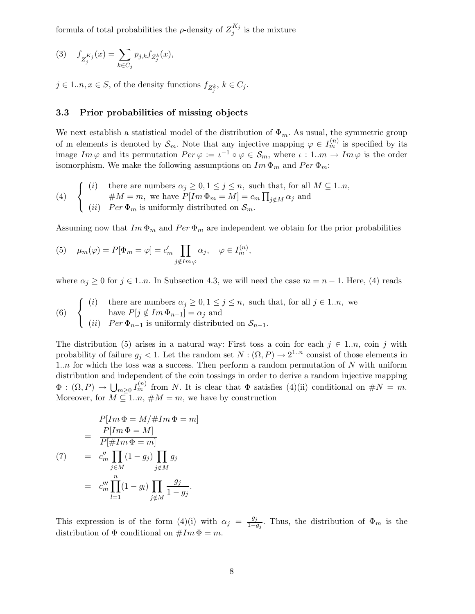formula of total probabilities the  $\rho$ -density of  $Z_j^{K_j}$  $j^{N_j}$  is the mixture

(3) 
$$
f_{Z_j^{K_j}}(x) = \sum_{k \in C_j} p_{j,k} f_{Z_j^k}(x),
$$

 $j \in 1..n, x \in S$ , of the density functions  $f_{Z_j^k}$ ,  $k \in C_j$ .

## 3.3 Prior probabilities of missing objects

We next establish a statistical model of the distribution of  $\Phi_m$ . As usual, the symmetric group of m elements is denoted by  $S_m$ . Note that any injective mapping  $\varphi \in I_m^{(n)}$  is specified by its image  $Im \varphi$  and its permutation  $Per \varphi := \iota^{-1} \circ \varphi \in \mathcal{S}_m$ , where  $\iota : 1..m \to Im \varphi$  is the order isomorphism. We make the following assumptions on  $Im \Phi_m$  and  $Per \Phi_m$ :

(4) 
$$
\begin{cases} (i) & \text{there are numbers } \alpha_j \geq 0, 1 \leq j \leq n, \text{ such that, for all } M \subseteq 1...n, \\ \#M = m, & \text{we have } P[Im \Phi_m = M] = c_m \prod_{j \notin M} \alpha_j \text{ and} \\ (ii) & Per \Phi_m \text{ is uniformly distributed on } \mathcal{S}_m. \end{cases}
$$

Assuming now that  $Im \Phi_m$  and  $Per \Phi_m$  are independent we obtain for the prior probabilities

(5) 
$$
\mu_m(\varphi) = P[\Phi_m = \varphi] = c'_m \prod_{j \notin Im \varphi} \alpha_j, \quad \varphi \in I_m^{(n)},
$$

where  $\alpha_j \geq 0$  for  $j \in 1..n$ . In Subsection 4.3, we will need the case  $m = n - 1$ . Here, (4) reads

(6) 
$$
\begin{cases} (i) & \text{there are numbers } \alpha_j \geq 0, 1 \leq j \leq n, \text{ such that, for all } j \in 1..n, \text{ we have } P[j \notin Im \Phi_{n-1}] = \alpha_j \text{ and} \\ (ii) & Per \Phi_{n-1} \text{ is uniformly distributed on } \mathcal{S}_{n-1}. \end{cases}
$$

The distribution (5) arises in a natural way: First toss a coin for each  $j \in 1..n$ , coin j with probability of failure  $g_j < 1$ . Let the random set  $N : (\Omega, P) \to 2^{1..n}$  consist of those elements in 1..n for which the toss was a success. Then perform a random permutation of  $N$  with uniform distribution and independent of the coin tossings in order to derive a random injective mapping  $\Phi : (\Omega, P) \to \bigcup_{m \geq 0} I_m^{(n)}$  from N. It is clear that  $\Phi$  satisfies (4)(ii) conditional on  $\#N = m$ . Moreover, for  $M \subseteq 1..n, \#M = m$ , we have by construction

$$
P[Im \Phi = M/\# Im \Phi = m]
$$
  
= 
$$
\frac{P[Im \Phi = M]}{P[\# Im \Phi = m]}
$$
  
(7) = 
$$
c_m'' \prod_{j \in M} (1 - g_j) \prod_{j \notin M} g_j
$$
  
= 
$$
c_m''' \prod_{l=1}^n (1 - g_l) \prod_{j \notin M} \frac{g_j}{1 - g_j}.
$$

This expression is of the form (4)(i) with  $\alpha_j = \frac{g_j}{1-\alpha}$  $\frac{y_j}{1-g_j}$ . Thus, the distribution of  $\Phi_m$  is the distribution of  $\Phi$  conditional on  $\#Im \Phi = m$ .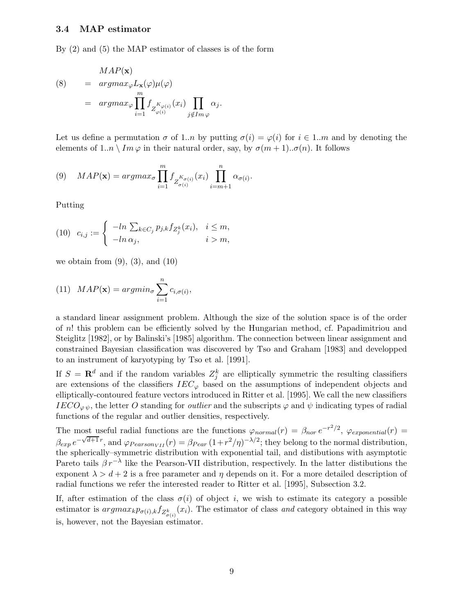#### 3.4 MAP estimator

By (2) and (5) the MAP estimator of classes is of the form

(8) 
$$
MAP(\mathbf{x}) = argmax_{\varphi} L_{\mathbf{x}}(\varphi) \mu(\varphi)
$$

$$
= argmax_{\varphi} \prod_{i=1}^{m} f_{Z_{\varphi(i)}^{K_{\varphi(i)}}}(x_i) \prod_{j \notin Im \varphi} \alpha_j.
$$

Let us define a permutation  $\sigma$  of 1..*n* by putting  $\sigma(i) = \varphi(i)$  for  $i \in 1..m$  and by denoting the elements of  $1..n \setminus Im \varphi$  in their natural order, say, by  $\sigma(m+1)..\sigma(n)$ . It follows

(9) 
$$
MAP(\mathbf{x}) = argmax_{\sigma} \prod_{i=1}^{m} f_{Z_{\sigma(i)}^{K_{\sigma(i)}}}(x_i) \prod_{i=m+1}^{n} \alpha_{\sigma(i)}.
$$

Putting

(10) 
$$
c_{i,j} := \begin{cases} -\ln \sum_{k \in C_j} p_{j,k} f_{Z_j^k}(x_i), & i \leq m, \\ -\ln \alpha_j, & i > m, \end{cases}
$$

we obtain from  $(9)$ ,  $(3)$ , and  $(10)$ 

(11) 
$$
MAP(\mathbf{x}) = argmin_{\sigma} \sum_{i=1}^{n} c_{i,\sigma(i)},
$$

a standard linear assignment problem. Although the size of the solution space is of the order of n! this problem can be efficiently solved by the Hungarian method, cf. Papadimitriou and Steiglitz [1982], or by Balinski's [1985] algorithm. The connection between linear assignment and constrained Bayesian classification was discovered by Tso and Graham [1983] and developped to an instrument of karyotyping by Tso et al. [1991].

If  $S = \mathbf{R}^d$  and if the random variables  $Z_j^k$  are elliptically symmetric the resulting classifiers are extensions of the classifiers  $IEC_{\varphi}$  based on the assumptions of independent objects and elliptically-contoured feature vectors introduced in Ritter et al. [1995]. We call the new classifiers  $IECO_{\varphi\psi}$ , the letter O standing for *outlier* and the subscripts  $\varphi$  and  $\psi$  indicating types of radial functions of the regular and outlier densities, respectively.

The most useful radial functions are the functions  $\varphi_{normal}(r) = \beta_{nor} e^{-r^2/2}$ ,  $\varphi_{exponential}(r) =$  $\beta_{exp} e^{-\sqrt{d+1}r}$ , and  $\varphi_{Pearson_{VII}}(r) = \beta_{Pear} (1+r^2/\eta)^{-\lambda/2}$ ; they belong to the normal distribution, the spherically–symmetric distribution with exponential tail, and distibutions with asymptotic Pareto tails  $\beta r^{-\lambda}$  like the Pearson-VII distribution, respectively. In the latter distibutions the exponent  $\lambda > d + 2$  is a free parameter and  $\eta$  depends on it. For a more detailed description of radial functions we refer the interested reader to Ritter et al. [1995], Subsection 3.2.

If, after estimation of the class  $\sigma(i)$  of object i, we wish to estimate its category a possible estimator is  $argmax_k p_{\sigma(i),k} f_{Z_{\sigma(i)}^k}(x_i)$ . The estimator of class and category obtained in this way is, however, not the Bayesian estimator.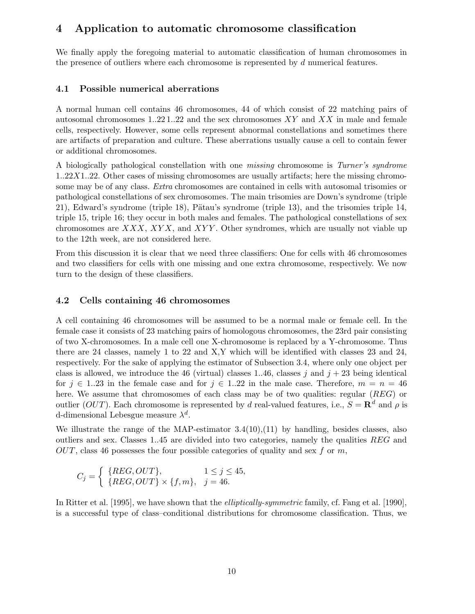## 4 Application to automatic chromosome classification

We finally apply the foregoing material to automatic classification of human chromosomes in the presence of outliers where each chromosome is represented by d numerical features.

## 4.1 Possible numerical aberrations

A normal human cell contains 46 chromosomes, 44 of which consist of 22 matching pairs of autosomal chromosomes  $1..221..22$  and the sex chromosomes  $XY$  and  $XX$  in male and female cells, respectively. However, some cells represent abnormal constellations and sometimes there are artifacts of preparation and culture. These aberrations usually cause a cell to contain fewer or additional chromosomes.

A biologically pathological constellation with one missing chromosome is Turner's syndrome 1..22X1..22. Other cases of missing chromosomes are usually artifacts; here the missing chromosome may be of any class. Extra chromosomes are contained in cells with autosomal trisomies or pathological constellations of sex chromosomes. The main trisomies are Down's syndrome (triple 21), Edward's syndrome (triple 18), Pätau's syndrome (triple 13), and the trisomies triple  $14$ , triple 15, triple 16; they occur in both males and females. The pathological constellations of sex chromosomes are  $XXX$ ,  $XYX$ , and  $XYY$ . Other syndromes, which are usually not viable up to the 12th week, are not considered here.

From this discussion it is clear that we need three classifiers: One for cells with 46 chromosomes and two classifiers for cells with one missing and one extra chromosome, respectively. We now turn to the design of these classifiers.

## 4.2 Cells containing 46 chromosomes

A cell containing 46 chromosomes will be assumed to be a normal male or female cell. In the female case it consists of 23 matching pairs of homologous chromosomes, the 23rd pair consisting of two X-chromosomes. In a male cell one X-chromosome is replaced by a Y-chromosome. Thus there are 24 classes, namely 1 to 22 and X,Y which will be identified with classes 23 and 24, respectively. For the sake of applying the estimator of Subsection 3.4, where only one object per class is allowed, we introduce the 46 (virtual) classes 1..46, classes j and  $j + 23$  being identical for  $j \in 1..23$  in the female case and for  $j \in 1..22$  in the male case. Therefore,  $m = n = 46$ here. We assume that chromosomes of each class may be of two qualities: regular (REG) or outlier (OUT). Each chromosome is represented by d real-valued features, i.e.,  $S = \mathbb{R}^d$  and  $\rho$  is d-dimensional Lebesgue measure  $\lambda^d$ .

We illustrate the range of the MAP-estimator  $3.4(10),(11)$  by handling, besides classes, also outliers and sex. Classes 1..45 are divided into two categories, namely the qualities REG and  $OUT$ , class 46 possesses the four possible categories of quality and sex f or m,

$$
C_j = \begin{cases} \{REG, OUT\}, & 1 \le j \le 45, \\ \{REG, OUT\} \times \{f, m\}, & j = 46. \end{cases}
$$

In Ritter et al. [1995], we have shown that the elliptically-symmetric family, cf. Fang et al. [1990], is a successful type of class–conditional distributions for chromosome classification. Thus, we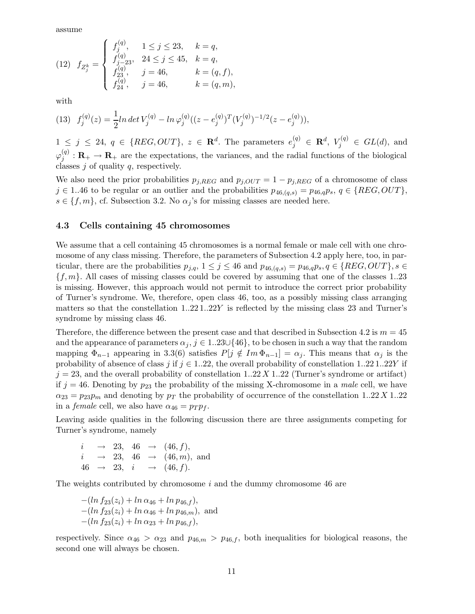assume

(12) 
$$
f_{Z_j^k} = \begin{cases} f_j^{(q)}, & 1 \le j \le 23, & k = q, \\ f_{j-23}^{(q)}, & 24 \le j \le 45, & k = q, \\ f_{23}^{(q)}, & j = 46, & k = (q, f), \\ f_{24}^{(q)}, & j = 46, & k = (q, m), \end{cases}
$$

with

$$
(13) \quad f_j^{(q)}(z) = \frac{1}{2} \ln \det V_j^{(q)} - \ln \varphi_j^{(q)} \left( (z - e_j^{(q)})^T (V_j^{(q)})^{-1/2} (z - e_j^{(q)}) \right),
$$

 $1 \leq j \leq 24, q \in \{REG, OUT\}, z \in \mathbf{R}^d$ . The parameters  $e_j^{(q)} \in \mathbf{R}^d, V_j^{(q)} \in GL(d)$ , and  $\varphi^{(q)}_i$  $j^{(q)}_j: \mathbf{R}_+ \to \mathbf{R}_+$  are the expectations, the variances, and the radial functions of the biological classes *j* of quality *q*, respectively.

We also need the prior probabilities  $p_{j,REG}$  and  $p_{j,OUT} = 1 - p_{j,REG}$  of a chromosome of class  $j \in 1..46$  to be regular or an outlier and the probabilities  $p_{46,(q,s)} = p_{46,q}p_s, q \in \{REG,OUT\},\$  $s \in \{f, m\}$ , cf. Subsection 3.2. No  $\alpha_j$ 's for missing classes are needed here.

### 4.3 Cells containing 45 chromosomes

We assume that a cell containing 45 chromosomes is a normal female or male cell with one chromosome of any class missing. Therefore, the parameters of Subsection 4.2 apply here, too, in particular, there are the probabilities  $p_{j,q}$ ,  $1 \leq j \leq 46$  and  $p_{46,(q,s)} = p_{46,q}p_s$ ,  $q \in \{REG, OUT\}$ ,  $s \in$  $\{f, m\}$ . All cases of missing classes could be covered by assuming that one of the classes 1..23 is missing. However, this approach would not permit to introduce the correct prior probability of Turner's syndrome. We, therefore, open class 46, too, as a possibly missing class arranging matters so that the constellation 1..22 1..22Y is reflected by the missing class 23 and Turner's syndrome by missing class 46.

Therefore, the difference between the present case and that described in Subsection 4.2 is  $m = 45$ and the appearance of parameters  $\alpha_j$ ,  $j \in 1..23\cup\{46\}$ , to be chosen in such a way that the random mapping  $\Phi_{n-1}$  appearing in 3.3(6) satisfies  $P[j \notin Im \Phi_{n-1}] = \alpha_j$ . This means that  $\alpha_j$  is the probability of absence of class j if  $j \in 1..22$ , the overall probability of constellation 1..22 1..22Y if  $j = 23$ , and the overall probability of constellation 1..22 X 1..22 (Turner's syndrome or artifact) if  $j = 46$ . Denoting by  $p_{23}$  the probability of the missing X-chromosome in a male cell, we have  $\alpha_{23} = p_{23}p_m$  and denoting by  $p_T$  the probability of occurrence of the constellation 1..22 X 1..22 in a *female* cell, we also have  $\alpha_{46} = p_T p_f$ .

Leaving aside qualities in the following discussion there are three assignments competing for Turner's syndrome, namely

$$
\begin{array}{rcl}\ni & \rightarrow & 23, 46 \rightarrow (46, f), \\
i & \rightarrow & 23, 46 \rightarrow (46, m), \text{ and} \\
46 & \rightarrow & 23, i \rightarrow (46, f).\n\end{array}
$$

The weights contributed by chromosome  $i$  and the dummy chromosome 46 are

$$
-(\ln f_{23}(z_i) + \ln \alpha_{46} + \ln p_{46,f}),
$$
  
-(\ln f\_{23}(z\_i) + \ln \alpha\_{46} + \ln p\_{46,m}), and  
-(\ln f\_{23}(z\_i) + \ln \alpha\_{23} + \ln p\_{46,f}),

respectively. Since  $\alpha_{46} > \alpha_{23}$  and  $p_{46,m} > p_{46,f}$ , both inequalities for biological reasons, the second one will always be chosen.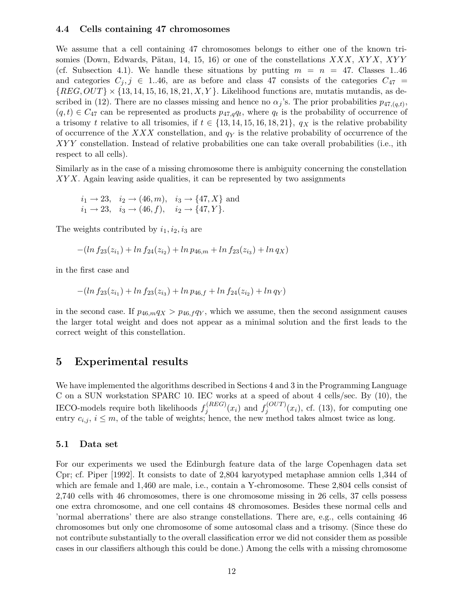### 4.4 Cells containing 47 chromosomes

We assume that a cell containing 47 chromosomes belongs to either one of the known trisomies (Down, Edwards, Pätau, 14, 15, 16) or one of the constellations  $XXX$ ,  $XYX$ ,  $XYY$ (cf. Subsection 4.1). We handle these situations by putting  $m = n = 47$ . Classes 1.46 and categories  $C_j$ ,  $j \in 1..46$ , are as before and class 47 consists of the categories  $C_{47}$  =  ${REG, OUT} \times {13, 14, 15, 16, 18, 21, X, Y}.$  Likelihood functions are, mutatis mutandis, as described in (12). There are no classes missing and hence no  $\alpha_j$ 's. The prior probabilities  $p_{47,(q,t)}$ ,  $(q,t) \in C_{47}$  can be represented as products  $p_{47,q}q_t$ , where  $q_t$  is the probability of occurrence of a trisomy t relative to all trisomies, if  $t \in \{13, 14, 15, 16, 18, 21\}$ ,  $q_X$  is the relative probability of occurrence of the XXX constellation, and  $q<sub>Y</sub>$  is the relative probability of occurrence of the XYY constellation. Instead of relative probabilities one can take overall probabilities (i.e., ith respect to all cells).

Similarly as in the case of a missing chromosome there is ambiguity concerning the constellation  $XYX$ . Again leaving aside qualities, it can be represented by two assignments

$$
i_1 \rightarrow 23
$$
,  $i_2 \rightarrow (46, m)$ ,  $i_3 \rightarrow \{47, X\}$  and  
 $i_1 \rightarrow 23$ ,  $i_3 \rightarrow (46, f)$ ,  $i_2 \rightarrow \{47, Y\}$ .

The weights contributed by  $i_1, i_2, i_3$  are

$$
-(\ln f_{23}(z_{i_1}) + \ln f_{24}(z_{i_2}) + \ln p_{46,m} + \ln f_{23}(z_{i_3}) + \ln q_X)
$$

in the first case and

$$
-(\ln f_{23}(z_{i_1}) + \ln f_{23}(z_{i_3}) + \ln p_{46,f} + \ln f_{24}(z_{i_2}) + \ln q_Y)
$$

in the second case. If  $p_{46,m}q_X > p_{46,f}q_Y$ , which we assume, then the second assignment causes the larger total weight and does not appear as a minimal solution and the first leads to the correct weight of this constellation.

## 5 Experimental results

We have implemented the algorithms described in Sections 4 and 3 in the Programming Language C on a SUN workstation SPARC 10. IEC works at a speed of about 4 cells/sec. By (10), the IECO-models require both likelihoods  $f_i^{(REG)}$  $f_j^{(REG)}(x_i)$  and  $f_j^{(OUT)}$  $j_j^{(OUI)}(x_i)$ , cf. (13), for computing one entry  $c_{i,j}$ ,  $i \leq m$ , of the table of weights; hence, the new method takes almost twice as long.

### 5.1 Data set

For our experiments we used the Edinburgh feature data of the large Copenhagen data set Cpr; cf. Piper [1992]. It consists to date of 2,804 karyotyped metaphase amnion cells 1,344 of which are female and 1,460 are male, i.e., contain a Y-chromosome. These 2,804 cells consist of 2,740 cells with 46 chromosomes, there is one chromosome missing in 26 cells, 37 cells possess one extra chromosome, and one cell contains 48 chromosomes. Besides these normal cells and 'normal aberrations' there are also strange constellations. There are, e.g., cells containing 46 chromosomes but only one chromosome of some autosomal class and a trisomy. (Since these do not contribute substantially to the overall classification error we did not consider them as possible cases in our classifiers although this could be done.) Among the cells with a missing chromosome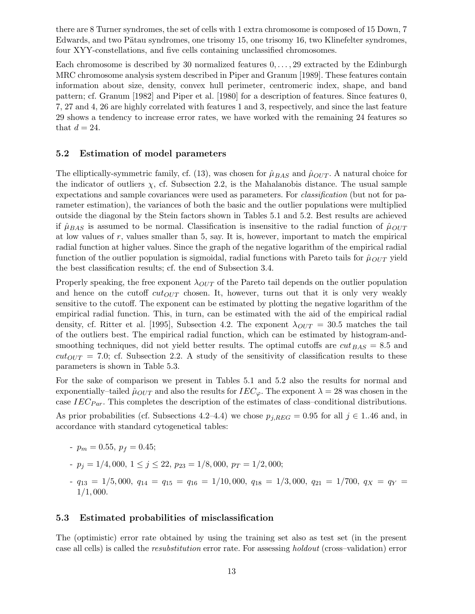there are 8 Turner syndromes, the set of cells with 1 extra chromosome is composed of 15 Down, 7 Edwards, and two Pätau syndromes, one trisomy 15, one trisomy 16, two Klinefelter syndromes, four XYY-constellations, and five cells containing unclassified chromosomes.

Each chromosome is described by 30 normalized features  $0, \ldots, 29$  extracted by the Edinburgh MRC chromosome analysis system described in Piper and Granum [1989]. These features contain information about size, density, convex hull perimeter, centromeric index, shape, and band pattern; cf. Granum [1982] and Piper et al. [1980] for a description of features. Since features 0, 7, 27 and 4, 26 are highly correlated with features 1 and 3, respectively, and since the last feature 29 shows a tendency to increase error rates, we have worked with the remaining 24 features so that  $d = 24$ .

### 5.2 Estimation of model parameters

The elliptically-symmetric family, cf. (13), was chosen for  $\hat{\mu}_{BAS}$  and  $\hat{\mu}_{OUT}$ . A natural choice for the indicator of outliers  $\chi$ , cf. Subsection 2.2, is the Mahalanobis distance. The usual sample expectations and sample covariances were used as parameters. For classification (but not for parameter estimation), the variances of both the basic and the outlier populations were multiplied outside the diagonal by the Stein factors shown in Tables 5.1 and 5.2. Best results are achieved if  $\hat{\mu}_{BAS}$  is assumed to be normal. Classification is insensitive to the radial function of  $\hat{\mu}_{OUT}$ at low values of  $r$ , values smaller than 5, say. It is, however, important to match the empirical radial function at higher values. Since the graph of the negative logarithm of the empirical radial function of the outlier population is sigmoidal, radial functions with Pareto tails for  $\hat{\mu}_{OUT}$  yield the best classification results; cf. the end of Subsection 3.4.

Properly speaking, the free exponent  $\lambda_{OUT}$  of the Pareto tail depends on the outlier population and hence on the cutoff  $cut_{OUT}$  chosen. It, however, turns out that it is only very weakly sensitive to the cutoff. The exponent can be estimated by plotting the negative logarithm of the empirical radial function. This, in turn, can be estimated with the aid of the empirical radial density, cf. Ritter et al. [1995], Subsection 4.2. The exponent  $\lambda_{OUT} = 30.5$  matches the tail of the outliers best. The empirical radial function, which can be estimated by histogram-andsmoothing techniques, did not yield better results. The optimal cutoffs are  $cut_{BAS} = 8.5$  and  $cut_{OUT}$  = 7.0; cf. Subsection 2.2. A study of the sensitivity of classification results to these parameters is shown in Table 5.3.

For the sake of comparison we present in Tables 5.1 and 5.2 also the results for normal and exponentially–tailed  $\hat{\mu}_{OUT}$  and also the results for  $IEC_{\varphi}$ . The exponent  $\lambda = 28$  was chosen in the case  $IEC_{Par}$ . This completes the description of the estimates of class-conditional distributions.

As prior probabilities (cf. Subsections 4.2–4.4) we chose  $p_{i,REG} = 0.95$  for all  $j \in 1..46$  and, in accordance with standard cytogenetical tables:

- $p_m = 0.55, p_f = 0.45;$
- $-p_j = 1/4,000, 1 \le j \le 22, p_{23} = 1/8,000, p_T = 1/2,000;$
- $-q_{13} = 1/5,000, q_{14} = q_{15} = q_{16} = 1/10,000, q_{18} = 1/3,000, q_{21} = 1/700, q_X = q_Y =$  $1/1,000.$

### 5.3 Estimated probabilities of misclassification

The (optimistic) error rate obtained by using the training set also as test set (in the present case all cells) is called the resubstitution error rate. For assessing holdout (cross–validation) error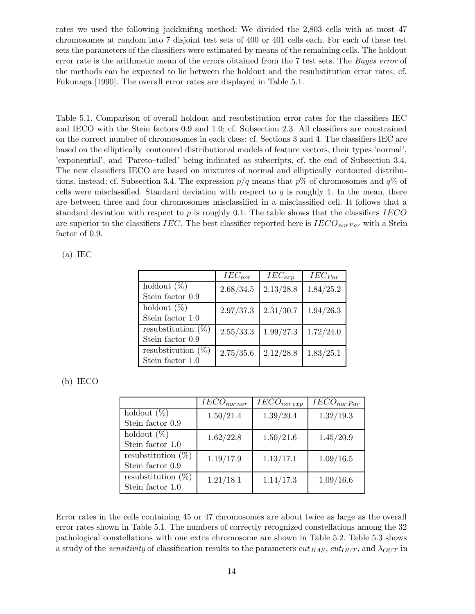rates we used the following jackknifing method: We divided the 2,803 cells with at most 47 chromosomes at random into 7 disjoint test sets of 400 or 401 cells each. For each of these test sets the parameters of the classifiers were estimated by means of the remaining cells. The holdout error rate is the arithmetic mean of the errors obtained from the 7 test sets. The Bayes error of the methods can be expected to lie between the holdout and the resubstitution error rates; cf. Fukunaga [1990]. The overall error rates are displayed in Table 5.1.

Table 5.1. Comparison of overall holdout and resubstitution error rates for the classifiers IEC and IECO with the Stein factors 0.9 and 1.0; cf. Subsection 2.3. All classifiers are constrained on the correct number of chromosomes in each class; cf. Sections 3 and 4. The classifiers IEC are based on the elliptically–contoured distributional models of feature vectors, their types 'normal', 'exponential', and 'Pareto–tailed' being indicated as subscripts, cf. the end of Subsection 3.4. The new classifiers IECO are based on mixtures of normal and elliptically–contoured distributions, instead; cf. Subsection 3.4. The expression  $p/q$  means that  $p\%$  of chromosomes and  $q\%$  of cells were misclassified. Standard deviation with respect to  $q$  is roughly 1. In the mean, there are between three and four chromosomes misclassified in a misclassified cell. It follows that a standard deviation with respect to  $p$  is roughly 0.1. The table shows that the classifiers  $IECO$ are superior to the classifiers IEC. The best classifier reported here is IECO<sub>norPar</sub> with a Stein factor of 0.9.

|--|--|

|                       | $IEC_{nor}$ | $IEC_{exp}$ | $IEC_{Par}$ |
|-----------------------|-------------|-------------|-------------|
| holdout $(\%)$        | 2.68/34.5   | 2.13/28.8   | 1.84/25.2   |
| Stein factor 0.9      |             |             |             |
| holdout $(\%)$        | 2.97/37.3   | 2.31/30.7   | 1.94/26.3   |
| Stein factor 1.0      |             |             |             |
| resubstitution $(\%)$ | 2.55/33.3   | 1.99/27.3   | 1.72/24.0   |
| Stein factor 0.9      |             |             |             |
| resubstitution $(\%)$ | 2.75/35.6   | 2.12/28.8   | 1.83/25.1   |
| Stein factor 1.0      |             |             |             |

(b) IECO

|                       | $IECO$ <sub>nor nor</sub> | $IECO_{nor\ exp}$ | $IECO$ <sub>nor</sub> Par |
|-----------------------|---------------------------|-------------------|---------------------------|
| holdout $(\%)$        | 1.50/21.4                 | 1.39/20.4         | 1.32/19.3                 |
| Stein factor $0.9\,$  |                           |                   |                           |
| holdout $(\%)$        | 1.62/22.8                 | 1.50/21.6         | 1.45/20.9                 |
| Stein factor 1.0      |                           |                   |                           |
| resubstitution $(\%)$ | 1.19/17.9                 | 1.13/17.1         | 1.09/16.5                 |
| Stein factor 0.9      |                           |                   |                           |
| resubstitution $(\%)$ | 1.21/18.1                 | 1.14/17.3         | 1.09/16.6                 |
| Stein factor 1.0      |                           |                   |                           |

Error rates in the cells containing 45 or 47 chromosomes are about twice as large as the overall error rates shown in Table 5.1. The numbers of correctly recognized constellations among the 32 pathological constellations with one extra chromosome are shown in Table 5.2. Table 5.3 shows a study of the *sensitivity* of classification results to the parameters  $cut_{BAS}$ ,  $cut_{OUT}$ , and  $\lambda_{OUT}$  in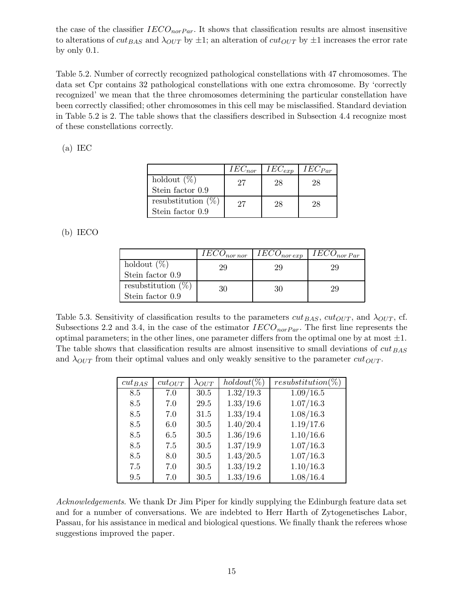the case of the classifier  $IECO_{norPar}$ . It shows that classification results are almost insensitive to alterations of  $cut_{BAS}$  and  $\lambda_{OUT}$  by  $\pm 1$ ; an alteration of  $cut_{OUT}$  by  $\pm 1$  increases the error rate by only 0.1.

Table 5.2. Number of correctly recognized pathological constellations with 47 chromosomes. The data set Cpr contains 32 pathological constellations with one extra chromosome. By 'correctly recognized' we mean that the three chromosomes determining the particular constellation have been correctly classified; other chromosomes in this cell may be misclassified. Standard deviation in Table 5.2 is 2. The table shows that the classifiers described in Subsection 4.4 recognize most of these constellations correctly.

(a) IEC

|                                           | $IEC_{nor}$ | $IEC_{exp}$ | $IEC_{Par}$ |
|-------------------------------------------|-------------|-------------|-------------|
| holdout $(\%)$<br>Stein factor 0.9        | 27          | 28          | 28          |
| resubstitution $(\%)$<br>Stein factor 0.9 | 27          | 28          | 28          |

(b) IECO

|                       | $IECO$ <sub>nor nor</sub> | $IECO_{nor\ exp}$ | $IECO_{nor~Par}$ |
|-----------------------|---------------------------|-------------------|------------------|
| holdout $(\%)$        | 29                        | 29                | 29               |
| Stein factor $0.9$    |                           |                   |                  |
| resubstitution $(\%)$ | 30                        | 30                | 29               |
| Stein factor 0.9      |                           |                   |                  |

Table 5.3. Sensitivity of classification results to the parameters  $cut_{BAS}$ ,  $cut_{OUT}$ , and  $\lambda_{OUT}$ , cf. Subsections 2.2 and 3.4, in the case of the estimator  $IECO_{norPar}$ . The first line represents the optimal parameters; in the other lines, one parameter differs from the optimal one by at most  $\pm 1$ . The table shows that classification results are almost insensitive to small deviations of  $cut_{BAS}$ and  $\lambda_{OUT}$  from their optimal values and only weakly sensitive to the parameter  $cut_{OUT}$ .

| $cut_{BAS}$ | $cut_{OUT}$ | $\lambda_{OUT}$ | $holdout(\%)$ | $resultution (\%)$ |
|-------------|-------------|-----------------|---------------|--------------------|
| 8.5         | 7.0         | 30.5            | 1.32/19.3     | 1.09/16.5          |
| 8.5         | 7.0         | 29.5            | 1.33/19.6     | 1.07/16.3          |
| 8.5         | 7.0         | 31.5            | 1.33/19.4     | 1.08/16.3          |
| 8.5         | 6.0         | 30.5            | 1.40/20.4     | 1.19/17.6          |
| 8.5         | 6.5         | 30.5            | 1.36/19.6     | 1.10/16.6          |
| 8.5         | 7.5         | 30.5            | 1.37/19.9     | 1.07/16.3          |
| 8.5         | 8.0         | 30.5            | 1.43/20.5     | 1.07/16.3          |
| 7.5         | 7.0         | 30.5            | 1.33/19.2     | 1.10/16.3          |
| 9.5         | 7.0         | 30.5            | 1.33/19.6     | 1.08/16.4          |

Acknowledgements. We thank Dr Jim Piper for kindly supplying the Edinburgh feature data set and for a number of conversations. We are indebted to Herr Harth of Zytogenetisches Labor, Passau, for his assistance in medical and biological questions. We finally thank the referees whose suggestions improved the paper.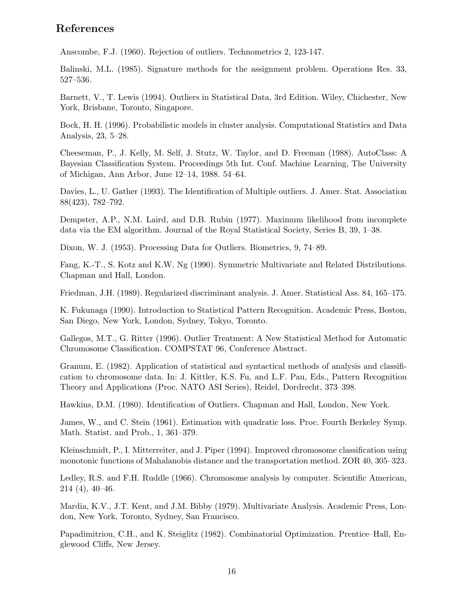# References

Anscombe, F.J. (1960). Rejection of outliers. Technometrics 2, 123-147.

Balinski, M.L. (1985). Signature methods for the assignment problem. Operations Res. 33, 527–536.

Barnett, V., T. Lewis (1994). Outliers in Statistical Data, 3rd Edition. Wiley, Chichester, New York, Brisbane, Toronto, Singapore.

Bock, H. H. (1996). Probabilistic models in cluster analysis. Computational Statistics and Data Analysis, 23, 5–28.

Cheeseman, P., J. Kelly, M. Self, J. Stutz, W. Taylor, and D. Freeman (1988). AutoClass: A Bayesian Classification System. Proceedings 5th Int. Conf. Machine Learning, The University of Michigan, Ann Arbor, June 12–14, 1988. 54–64.

Davies, L., U. Gather (1993). The Identification of Multiple outliers. J. Amer. Stat. Association 88(423), 782–792.

Dempster, A.P., N.M. Laird, and D.B. Rubin (1977). Maximum likelihood from incomplete data via the EM algorithm. Journal of the Royal Statistical Society, Series B, 39, 1–38.

Dixon, W. J. (1953). Processing Data for Outliers. Biometrics, 9, 74–89.

Fang, K.-T., S. Kotz and K.W. Ng (1990). Symmetric Multivariate and Related Distributions. Chapman and Hall, London.

Friedman, J.H. (1989). Regularized discriminant analysis. J. Amer. Statistical Ass. 84, 165–175.

K. Fukunaga (1990). Introduction to Statistical Pattern Recognition. Academic Press, Boston, San Diego, New York, London, Sydney, Tokyo, Toronto.

Gallegos, M.T., G. Ritter (1996). Outlier Treatment: A New Statistical Method for Automatic Chromosome Classification. COMPSTAT 96, Conference Abstract.

Granum, E. (1982). Application of statistical and syntactical methods of analysis and classification to chromosome data. In: J. Kittler, K.S. Fu, and L.F. Pau, Eds., Pattern Recognition Theory and Applications (Proc. NATO ASI Series), Reidel, Dordrecht, 373–398.

Hawkins, D.M. (1980). Identification of Outliers. Chapman and Hall, London, New York.

James, W., and C. Stein (1961). Estimation with quadratic loss. Proc. Fourth Berkeley Symp. Math. Statist. and Prob., 1, 361–379.

Kleinschmidt, P., I. Mitterreiter, and J. Piper (1994). Improved chromosome classification using monotonic functions of Mahalanobis distance and the transportation method. ZOR 40, 305–323.

Ledley, R.S. and F.H. Ruddle (1966). Chromosome analysis by computer. Scientific American, 214 (4), 40–46.

Mardia, K.V., J.T. Kent, and J.M. Bibby (1979). Multivariate Analysis. Academic Press, London, New York, Toronto, Sydney, San Francisco.

Papadimitriou, C.H., and K. Steiglitz (1982). Combinatorial Optimization. Prentice–Hall, Englewood Cliffs, New Jersey.